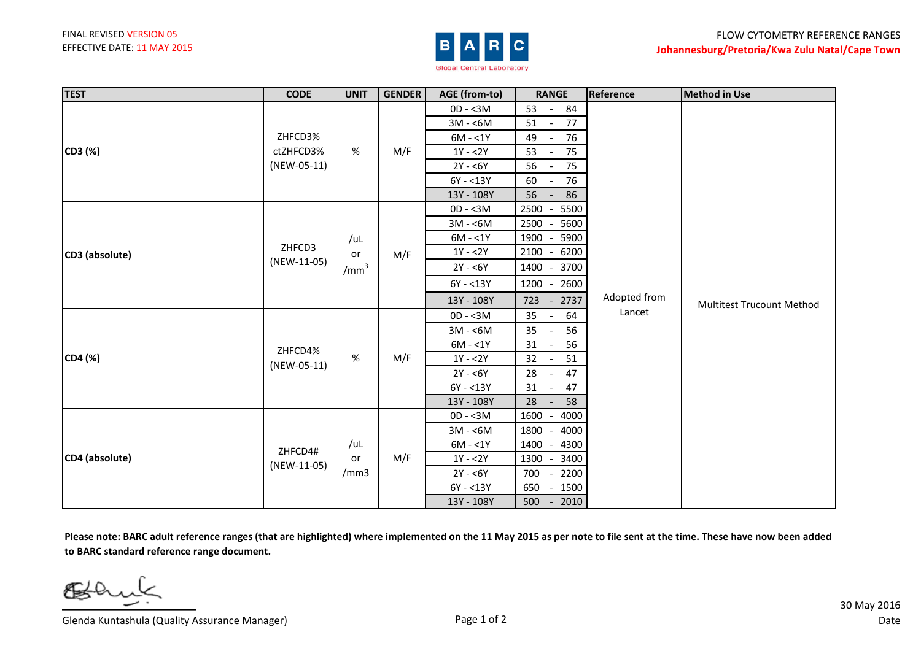

| <b>TEST</b>    | <b>CODE</b>            | <b>UNIT</b>                   | <b>GENDER</b> | AGE (from-to) | <b>RANGE</b>                         | Reference              | <b>Method in Use</b>             |
|----------------|------------------------|-------------------------------|---------------|---------------|--------------------------------------|------------------------|----------------------------------|
| CD3 (%)        | ZHFCD3%                |                               |               | $OD - < 3M$   | 53<br>84<br>$\sim$ $-$               |                        |                                  |
|                |                        |                               |               | $3M - 6M$     | 51<br>77<br>$\sim$                   |                        |                                  |
|                |                        |                               |               | $6M - 1Y$     | 49<br>76<br>$\overline{\phantom{a}}$ |                        |                                  |
|                | ctZHFCD3%              | %                             | M/F           | $1Y - 2Y$     | 53<br>75<br>$\sim$ $-$               |                        |                                  |
|                | (NEW-05-11)            |                               |               | $2Y - 6Y$     | 56<br>75<br>$\sim$                   |                        |                                  |
|                |                        |                               |               | $6Y - 13Y$    | 60<br>76<br>$\sim$ $-$               | Adopted from<br>Lancet | <b>Multitest Trucount Method</b> |
|                |                        |                               |               | 13Y - 108Y    | 56<br>86<br>$\sim$                   |                        |                                  |
| CD3 (absolute) | ZHFCD3<br>(NEW-11-05)  | /uL<br>or<br>/mm <sup>3</sup> | M/F           | $OD - < 3M$   | 5500<br>2500 -                       |                        |                                  |
|                |                        |                               |               | $3M - 6M$     | 2500 -<br>5600                       |                        |                                  |
|                |                        |                               |               | $6M - 1Y$     | 1900<br>5900                         |                        |                                  |
|                |                        |                               |               | $1Y - 2Y$     | 2100 - 6200                          |                        |                                  |
|                |                        |                               |               | $2Y - 6Y$     | 1400 - 3700                          |                        |                                  |
|                |                        |                               |               | $6Y - 13Y$    | 1200 - 2600                          |                        |                                  |
|                |                        |                               |               | 13Y - 108Y    | 2737<br>$723 -$                      |                        |                                  |
| CD4 (%)        | ZHFCD4%<br>(NEW-05-11) | %                             | M/F           | $OD - < 3M$   | 35<br>64<br>$\overline{\phantom{a}}$ |                        |                                  |
|                |                        |                               |               | $3M - 6M$     | 35<br>56                             |                        |                                  |
|                |                        |                               |               | $6M - 1Y$     | 56<br>31<br>$\overline{\phantom{a}}$ |                        |                                  |
|                |                        |                               |               | $1Y - 2Y$     | 51<br>32<br>$\overline{\phantom{a}}$ |                        |                                  |
|                |                        |                               |               | $2Y - 6Y$     | 28<br>47<br>$\sim$                   |                        |                                  |
|                |                        |                               |               | $6Y - 13Y$    | 47<br>31<br>$\sim$                   |                        |                                  |
|                |                        |                               |               | 13Y - 108Y    | 58<br>28<br>$\sim$ $-$               |                        |                                  |
| CD4 (absolute) | ZHFCD4#<br>(NEW-11-05) | /uL<br>or<br>/mm3             | M/F           | $OD - < 3M$   | 1600 -<br>4000                       |                        |                                  |
|                |                        |                               |               | $3M - 6M$     | 1800 -<br>4000                       |                        |                                  |
|                |                        |                               |               | $6M - 1Y$     | 1400 - 4300                          |                        |                                  |
|                |                        |                               |               | $1Y - 2Y$     | 1300 -<br>3400                       |                        |                                  |
|                |                        |                               |               | $2Y - 6Y$     | 700 - 2200                           |                        |                                  |
|                |                        |                               |               | $6Y - 13Y$    | 650 - 1500                           |                        |                                  |
|                |                        |                               |               | 13Y - 108Y    | 500<br>$-2010$                       |                        |                                  |

**Please note: BARC adult reference ranges (that are highlighted) where implemented on the 11 May 2015 as per note to file sent at the time. These have now been added to BARC standard reference range document.**